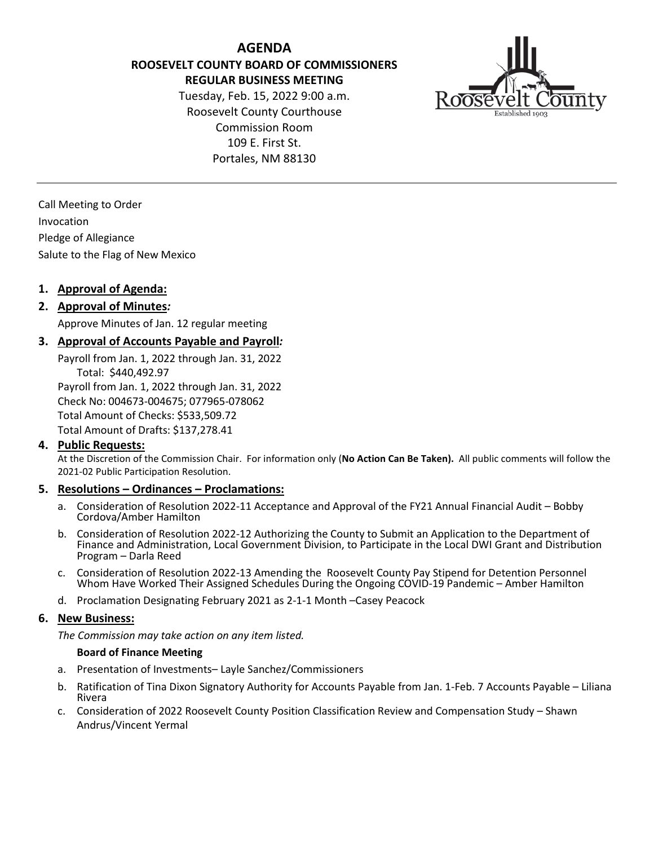**AGENDA ROOSEVELT COUNTY BOARD OF COMMISSIONERS REGULAR BUSINESS MEETING**

Tuesday, Feb. 15, 2022 9:00 a.m. Roosevelt County Courthouse Commission Room 109 E. First St. Portales, NM 88130



Call Meeting to Order Invocation Pledge of Allegiance Salute to the Flag of New Mexico

# **1. Approval of Agenda:**

## **2. Approval of Minutes***:*

Approve Minutes of Jan. 12 regular meeting

## **3. Approval of Accounts Payable and Payroll***:*

Payroll from Jan. 1, 2022 through Jan. 31, 2022 Total: \$440,492.97

Payroll from Jan. 1, 2022 through Jan. 31, 2022 Check No: 004673-004675; 077965-078062 Total Amount of Checks: \$533,509.72 Total Amount of Drafts: \$137,278.41

## **4. Public Requests:**

At the Discretion of the Commission Chair. For information only (**No Action Can Be Taken).** All public comments will follow the 2021-02 Public Participation Resolution.

## **5. Resolutions – Ordinances – Proclamations:**

- a. Consideration of Resolution 2022-11 Acceptance and Approval of the FY21 Annual Financial Audit Bobby Cordova/Amber Hamilton
- b. Consideration of Resolution 2022-12 Authorizing the County to Submit an Application to the Department of Finance and Administration, Local Government Division, to Participate in the Local DWI Grant and Distribution Program – Darla Reed
- c. Consideration of Resolution 2022-13 Amending the Roosevelt County Pay Stipend for Detention Personnel Whom Have Worked Their Assigned Schedules During the Ongoing COVID-19 Pandemic – Amber Hamilton
- d. Proclamation Designating February 2021 as 2-1-1 Month –Casey Peacock

#### **6. New Business:**

*The Commission may take action on any item listed.*

#### **Board of Finance Meeting**

- a. Presentation of Investments– Layle Sanchez/Commissioners
- b. Ratification of Tina Dixon Signatory Authority for Accounts Payable from Jan. 1-Feb. 7 Accounts Payable Liliana Rivera
- c. Consideration of 2022 Roosevelt County Position Classification Review and Compensation Study Shawn Andrus/Vincent Yermal